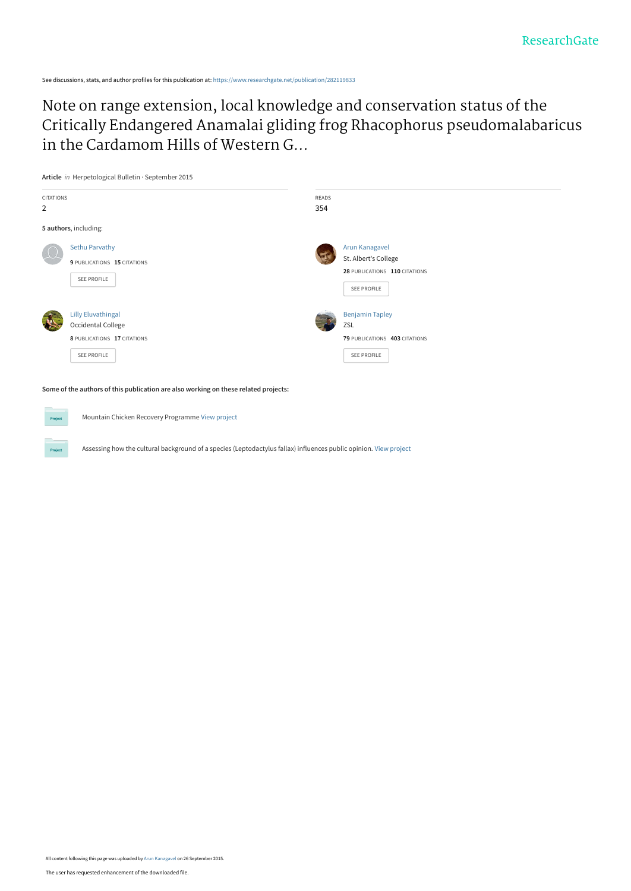See discussions, stats, and author profiles for this publication at: [https://www.researchgate.net/publication/282119833](https://www.researchgate.net/publication/282119833_Note_on_range_extension_local_knowledge_and_conservation_status_of_the_Critically_Endangered_Anamalai_gliding_frog_Rhacophorus_pseudomalabaricus_in_the_Cardamom_Hills_of_Western_Ghats_India?enrichId=rgreq-6a591055cc774afb58b9f4f55d218c67-XXX&enrichSource=Y292ZXJQYWdlOzI4MjExOTgzMztBUzoyNzc4NjQwNzYzMzMwNTZAMTQ0MzI1OTM2NjI1MA%3D%3D&el=1_x_2&_esc=publicationCoverPdf)

Note on range extension, local knowledge and conservation status of the [Critically Endangered Anamalai gliding frog Rhacophorus pseudomalabaricus](https://www.researchgate.net/publication/282119833_Note_on_range_extension_local_knowledge_and_conservation_status_of_the_Critically_Endangered_Anamalai_gliding_frog_Rhacophorus_pseudomalabaricus_in_the_Cardamom_Hills_of_Western_Ghats_India?enrichId=rgreq-6a591055cc774afb58b9f4f55d218c67-XXX&enrichSource=Y292ZXJQYWdlOzI4MjExOTgzMztBUzoyNzc4NjQwNzYzMzMwNTZAMTQ0MzI1OTM2NjI1MA%3D%3D&el=1_x_3&_esc=publicationCoverPdf) in the Cardamom Hills of Western G...



Mountain Chicken Recovery Programme [View project](https://www.researchgate.net/project/Mountain-Chicken-Recovery-Programme?enrichId=rgreq-6a591055cc774afb58b9f4f55d218c67-XXX&enrichSource=Y292ZXJQYWdlOzI4MjExOTgzMztBUzoyNzc4NjQwNzYzMzMwNTZAMTQ0MzI1OTM2NjI1MA%3D%3D&el=1_x_9&_esc=publicationCoverPdf)

2

Assessing how the cultural background of a species (Leptodactylus fallax) influences public opinion. [View project](https://www.researchgate.net/project/Assessing-how-the-cultural-background-of-a-species-Leptodactylus-fallax-influences-public-opinion?enrichId=rgreq-6a591055cc774afb58b9f4f55d218c67-XXX&enrichSource=Y292ZXJQYWdlOzI4MjExOTgzMztBUzoyNzc4NjQwNzYzMzMwNTZAMTQ0MzI1OTM2NjI1MA%3D%3D&el=1_x_9&_esc=publicationCoverPdf)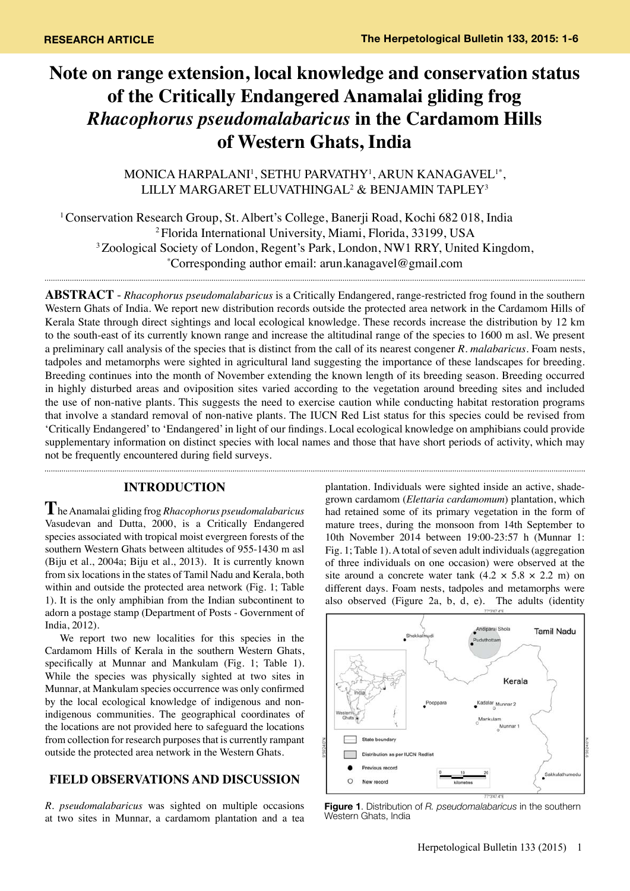# **Note on range extension, local knowledge and conservation status of the Critically Endangered Anamalai gliding frog**  *Rhacophorus pseudomalabaricus* **in the Cardamom Hills of Western Ghats, India**

MONICA HARPALANI1 , SETHU PARVATHY1 , ARUN KANAGAVEL1\*, LILLY MARGARET ELUVATHINGAL2 & BENJAMIN TAPLEY3

1 Conservation Research Group, St. Albert's College, Banerji Road, Kochi 682 018, India 2 Florida International University, Miami, Florida, 33199, USA <sup>3</sup> Zoological Society of London, Regent's Park, London, NW1 RRY, United Kingdom, Corresponding author email: arun.kanagavel@gmail.com

**Abstract** - *Rhacophorus pseudomalabaricus* is a Critically Endangered, range-restricted frog found in the southern Western Ghats of India. We report new distribution records outside the protected area network in the Cardamom Hills of Kerala State through direct sightings and local ecological knowledge. These records increase the distribution by 12 km to the south-east of its currently known range and increase the altitudinal range of the species to 1600 m asl. We present a preliminary call analysis of the species that is distinct from the call of its nearest congener *R. malabaricus*. Foam nests, tadpoles and metamorphs were sighted in agricultural land suggesting the importance of these landscapes for breeding. Breeding continues into the month of November extending the known length of its breeding season. Breeding occurred in highly disturbed areas and oviposition sites varied according to the vegetation around breeding sites and included the use of non-native plants. This suggests the need to exercise caution while conducting habitat restoration programs that involve a standard removal of non-native plants. The IUCN Red List status for this species could be revised from 'Critically Endangered' to 'Endangered' in light of our findings. Local ecological knowledge on amphibians could provide supplementary information on distinct species with local names and those that have short periods of activity, which may not be frequently encountered during field surveys. 

## **INTRODUCTION**

**T**he Anamalai gliding frog *Rhacophorus pseudomalabaricus* Vasudevan and Dutta, 2000, is a Critically Endangered species associated with tropical moist evergreen forests of the southern Western Ghats between altitudes of 955-1430 m asl (Biju et al., 2004a; Biju et al., 2013). It is currently known from six locations in the states of Tamil Nadu and Kerala, both within and outside the protected area network (Fig. 1; Table 1). It is the only amphibian from the Indian subcontinent to adorn a postage stamp (Department of Posts - Government of India, 2012).

We report two new localities for this species in the Cardamom Hills of Kerala in the southern Western Ghats, specifically at Munnar and Mankulam (Fig. 1; Table 1). While the species was physically sighted at two sites in Munnar, at Mankulam species occurrence was only confirmed by the local ecological knowledge of indigenous and nonindigenous communities. The geographical coordinates of the locations are not provided here to safeguard the locations from collection for research purposes that is currently rampant outside the protected area network in the Western Ghats.

# **FIELD OBSERVATIONS AND DISCUSSION**

*R. pseudomalabaricus* was sighted on multiple occasions at two sites in Munnar, a cardamom plantation and a tea

plantation. Individuals were sighted inside an active, shadegrown cardamom (*Elettaria cardamomum*) plantation, which had retained some of its primary vegetation in the form of mature trees, during the monsoon from 14th September to 10th November 2014 between 19:00-23:57 h (Munnar 1: Fig. 1; Table 1). A total of seven adult individuals (aggregation of three individuals on one occasion) were observed at the site around a concrete water tank  $(4.2 \times 5.8 \times 2.2 \text{ m})$  on different days. Foam nests, tadpoles and metamorphs were also observed (Figure 2a, b, d, e). The adults (identity



**Figure 1**. Distribution of *R. pseudomalabaricus* in the southern Western Ghats, India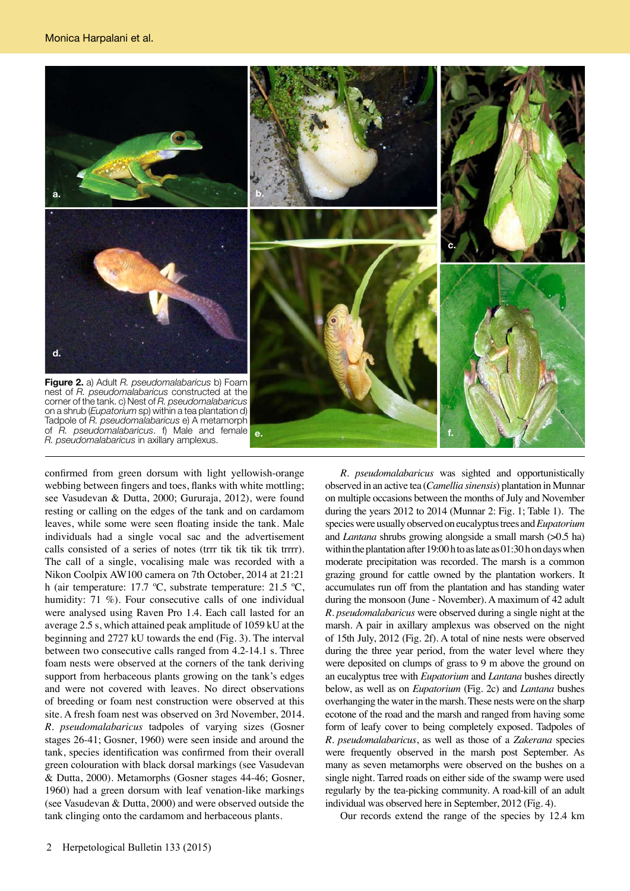

confirmed from green dorsum with light yellowish-orange webbing between fingers and toes, flanks with white mottling; see Vasudevan & Dutta, 2000; Gururaja, 2012), were found resting or calling on the edges of the tank and on cardamom leaves, while some were seen floating inside the tank. Male individuals had a single vocal sac and the advertisement calls consisted of a series of notes (trrr tik tik tik tik trrrr). The call of a single, vocalising male was recorded with a Nikon Coolpix AW100 camera on 7th October, 2014 at 21:21 h (air temperature: 17.7 ºC, substrate temperature: 21.5 ºC, humidity: 71 %). Four consecutive calls of one individual were analysed using Raven Pro 1.4. Each call lasted for an average 2.5 s, which attained peak amplitude of 1059 kU at the beginning and 2727 kU towards the end (Fig. 3). The interval between two consecutive calls ranged from 4.2-14.1 s. Three foam nests were observed at the corners of the tank deriving support from herbaceous plants growing on the tank's edges and were not covered with leaves. No direct observations of breeding or foam nest construction were observed at this site. A fresh foam nest was observed on 3rd November, 2014. *R. pseudomalabaricus* tadpoles of varying sizes (Gosner stages 26-41; Gosner, 1960) were seen inside and around the tank, species identification was confirmed from their overall green colouration with black dorsal markings (see Vasudevan & Dutta, 2000). Metamorphs (Gosner stages 44-46; Gosner, 1960) had a green dorsum with leaf venation-like markings (see Vasudevan & Dutta, 2000) and were observed outside the tank clinging onto the cardamom and herbaceous plants.

*R. pseudomalabaricus* was sighted and opportunistically observed in an active tea (*Camellia sinensis*) plantation in Munnar on multiple occasions between the months of July and November during the years 2012 to 2014 (Munnar 2: Fig. 1; Table 1). The species were usually observed on eucalyptus trees and *Eupatorium*  and *Lantana* shrubs growing alongside a small marsh (>0.5 ha) within the plantation after 19:00 h to as late as 01:30 h on days when moderate precipitation was recorded. The marsh is a common grazing ground for cattle owned by the plantation workers. It accumulates run off from the plantation and has standing water during the monsoon (June - November). A maximum of 42 adult *R. pseudomalabaricus* were observed during a single night at the marsh. A pair in axillary amplexus was observed on the night of 15th July, 2012 (Fig. 2f). A total of nine nests were observed during the three year period, from the water level where they were deposited on clumps of grass to 9 m above the ground on an eucalyptus tree with *Eupatorium* and *Lantana* bushes directly below, as well as on *Eupatorium* (Fig. 2c) and *Lantana* bushes overhanging the water in the marsh. These nests were on the sharp ecotone of the road and the marsh and ranged from having some form of leafy cover to being completely exposed. Tadpoles of *R. pseudomalabaricus*, as well as those of a *Zakerana* species were frequently observed in the marsh post September. As many as seven metamorphs were observed on the bushes on a single night. Tarred roads on either side of the swamp were used regularly by the tea-picking community. A road-kill of an adult individual was observed here in September, 2012 (Fig. 4).

Our records extend the range of the species by 12.4 km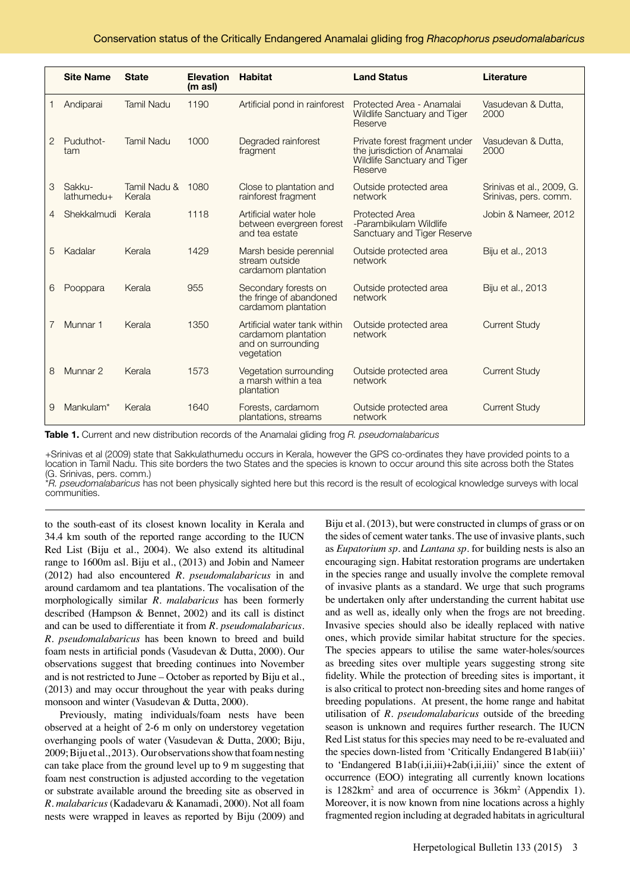|                | <b>Site Name</b>           | <b>State</b>                | <b>Elevation</b><br>$(m \text{ as } l)$ | <b>Habitat</b>                                                                          | <b>Land Status</b>                                                                                              | Literature                                         |
|----------------|----------------------------|-----------------------------|-----------------------------------------|-----------------------------------------------------------------------------------------|-----------------------------------------------------------------------------------------------------------------|----------------------------------------------------|
| 1              | Andiparai                  | <b>Tamil Nadu</b>           | 1190                                    | Artificial pond in rainforest                                                           | Protected Area - Anamalai<br>Wildlife Sanctuary and Tiger<br>Reserve                                            | Vasudevan & Dutta,<br>2000                         |
| 2              | Puduthot-<br>tam           | <b>Tamil Nadu</b>           | 1000                                    | Degraded rainforest<br>fragment                                                         | Private forest fragment under<br>the jurisdiction of Anamalai<br><b>Wildlife Sanctuary and Tiger</b><br>Reserve | Vasudevan & Dutta,<br>2000                         |
| 3              | Sakku-<br>$l$ athumedu $+$ | Tamil Nadu & 1080<br>Kerala |                                         | Close to plantation and<br>rainforest fragment                                          | Outside protected area<br>network                                                                               | Srinivas et al., 2009, G.<br>Srinivas, pers. comm. |
| $\overline{4}$ | Shekkalmudi                | Kerala                      | 1118                                    | Artificial water hole<br>between evergreen forest<br>and tea estate                     | Protected Area<br>-Parambikulam Wildlife<br>Sanctuary and Tiger Reserve                                         | Jobin & Nameer, 2012                               |
| 5              | Kadalar                    | Kerala                      | 1429                                    | Marsh beside perennial<br>stream outside<br>cardamom plantation                         | Outside protected area<br>network                                                                               | Biju et al., 2013                                  |
| 6              | Pooppara                   | Kerala                      | 955                                     | Secondary forests on<br>the fringe of abandoned<br>cardamom plantation                  | Outside protected area<br>network                                                                               | Biju et al., 2013                                  |
|                | Munnar 1                   | Kerala                      | 1350                                    | Artificial water tank within<br>cardamom plantation<br>and on surrounding<br>vegetation | Outside protected area<br>network                                                                               | <b>Current Study</b>                               |
| 8              | Munnar 2                   | Kerala                      | 1573                                    | Vegetation surrounding<br>a marsh within a tea<br>plantation                            | Outside protected area<br>network                                                                               | <b>Current Study</b>                               |
| 9              | Mankulam*                  | Kerala                      | 1640                                    | Forests, cardamom<br>plantations, streams                                               | Outside protected area<br>network                                                                               | <b>Current Study</b>                               |

**Table 1.** Current and new distribution records of the Anamalai gliding frog *R. pseudomalabaricus*

+Srinivas et al (2009) state that Sakkulathumedu occurs in Kerala, however the GPS co-ordinates they have provided points to a location in Tamil Nadu. This site borders the two States and the species is known to occur around this site across both the States (G. Srinivas, pers. comm.)

\**R. pseudomalabaricus* has not been physically sighted here but this record is the result of ecological knowledge surveys with local communities.

to the south-east of its closest known locality in Kerala and 34.4 km south of the reported range according to the IUCN Red List (Biju et al., 2004). We also extend its altitudinal range to 1600m asl. Biju et al., (2013) and Jobin and Nameer (2012) had also encountered *R. pseudomalabaricus* in and around cardamom and tea plantations. The vocalisation of the morphologically similar *R. malabaricus* has been formerly described (Hampson & Bennet, 2002) and its call is distinct and can be used to differentiate it from *R. pseudomalabaricus*. *R. pseudomalabaricus* has been known to breed and build foam nests in artificial ponds (Vasudevan & Dutta, 2000). Our observations suggest that breeding continues into November and is not restricted to June – October as reported by Biju et al., (2013) and may occur throughout the year with peaks during monsoon and winter (Vasudevan & Dutta, 2000).

Previously, mating individuals/foam nests have been observed at a height of 2-6 m only on understorey vegetation overhanging pools of water (Vasudevan & Dutta, 2000; Biju, 2009; Biju et al., 2013). Our observations show that foam nesting can take place from the ground level up to 9 m suggesting that foam nest construction is adjusted according to the vegetation or substrate available around the breeding site as observed in *R. malabaricus* (Kadadevaru & Kanamadi, 2000). Not all foam nests were wrapped in leaves as reported by Biju (2009) and

Biju et al. (2013), but were constructed in clumps of grass or on the sides of cement water tanks. The use of invasive plants, such as *Eupatorium sp*. and *Lantana sp*. for building nests is also an encouraging sign. Habitat restoration programs are undertaken in the species range and usually involve the complete removal of invasive plants as a standard. We urge that such programs be undertaken only after understanding the current habitat use and as well as, ideally only when the frogs are not breeding. Invasive species should also be ideally replaced with native ones, which provide similar habitat structure for the species. The species appears to utilise the same water-holes/sources as breeding sites over multiple years suggesting strong site fidelity. While the protection of breeding sites is important, it is also critical to protect non-breeding sites and home ranges of breeding populations. At present, the home range and habitat utilisation of *R. pseudomalabaricus* outside of the breeding season is unknown and requires further research. The IUCN Red List status for this species may need to be re-evaluated and the species down-listed from 'Critically Endangered B1ab(iii)' to 'Endangered B1ab $(i, ii, iii) + 2ab(i, ii, iii)$ ' since the extent of occurrence (EOO) integrating all currently known locations is  $1282 \text{km}^2$  and area of occurrence is  $36 \text{km}^2$  (Appendix 1). Moreover, it is now known from nine locations across a highly fragmented region including at degraded habitats in agricultural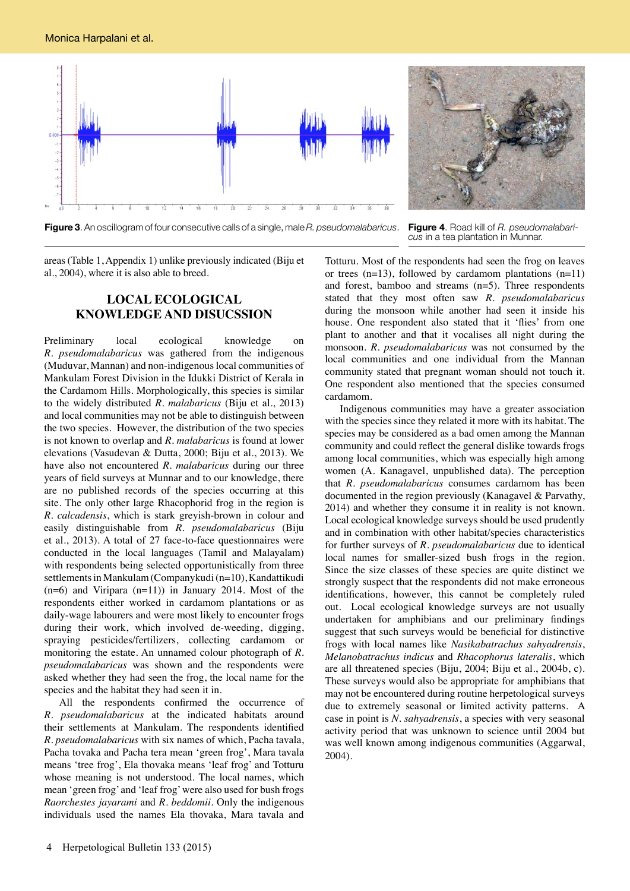

**Figure 3**. An oscillogram of four consecutive calls of a single, male *R. pseudomalabaricus*. **Figure 4**. Road kill of *R. pseudomalabari-*

*cus* in a tea plantation in Munnar.

areas (Table 1, Appendix 1) unlike previously indicated (Biju et al., 2004), where it is also able to breed.

## **LOCAL ECOLOGICAL KNOWLEDGE AND DISUCSSION**

Preliminary local ecological knowledge on *R. pseudomalabaricus* was gathered from the indigenous (Muduvar, Mannan) and non-indigenous local communities of Mankulam Forest Division in the Idukki District of Kerala in the Cardamom Hills. Morphologically, this species is similar to the widely distributed *R. malabaricus* (Biju et al., 2013) and local communities may not be able to distinguish between the two species. However, the distribution of the two species is not known to overlap and *R. malabaricus* is found at lower elevations (Vasudevan & Dutta, 2000; Biju et al., 2013). We have also not encountered *R. malabaricus* during our three years of field surveys at Munnar and to our knowledge, there are no published records of the species occurring at this site. The only other large Rhacophorid frog in the region is *R. calcadensis*, which is stark greyish-brown in colour and easily distinguishable from *R. pseudomalabaricus* (Biju et al., 2013). A total of 27 face-to-face questionnaires were conducted in the local languages (Tamil and Malayalam) with respondents being selected opportunistically from three settlements in Mankulam (Companykudi (n=10), Kandattikudi  $(n=6)$  and Viripara  $(n=11)$  in January 2014. Most of the respondents either worked in cardamom plantations or as daily-wage labourers and were most likely to encounter frogs during their work, which involved de-weeding, digging, spraying pesticides/fertilizers, collecting cardamom or monitoring the estate. An unnamed colour photograph of *R. pseudomalabaricus* was shown and the respondents were asked whether they had seen the frog, the local name for the species and the habitat they had seen it in.

All the respondents confirmed the occurrence of *R. pseudomalabaricus* at the indicated habitats around their settlements at Mankulam. The respondents identified *R. pseudomalabaricus* with six names of which, Pacha tavala, Pacha tovaka and Pacha tera mean 'green frog', Mara tavala means 'tree frog', Ela thovaka means 'leaf frog' and Totturu whose meaning is not understood. The local names, which mean 'green frog' and 'leaf frog' were also used for bush frogs *Raorchestes jayarami* and *R. beddomii*. Only the indigenous individuals used the names Ela thovaka, Mara tavala and

Totturu. Most of the respondents had seen the frog on leaves or trees  $(n=13)$ , followed by cardamom plantations  $(n=11)$ and forest, bamboo and streams (n=5). Three respondents stated that they most often saw *R. pseudomalabaricus* during the monsoon while another had seen it inside his house. One respondent also stated that it 'flies' from one plant to another and that it vocalises all night during the monsoon. *R. pseudomalabaricus* was not consumed by the local communities and one individual from the Mannan community stated that pregnant woman should not touch it. One respondent also mentioned that the species consumed cardamom.

Indigenous communities may have a greater association with the species since they related it more with its habitat. The species may be considered as a bad omen among the Mannan community and could reflect the general dislike towards frogs among local communities, which was especially high among women (A. Kanagavel, unpublished data). The perception that *R. pseudomalabaricus* consumes cardamom has been documented in the region previously (Kanagavel & Parvathy, 2014) and whether they consume it in reality is not known. Local ecological knowledge surveys should be used prudently and in combination with other habitat/species characteristics for further surveys of *R. pseudomalabaricus* due to identical local names for smaller-sized bush frogs in the region. Since the size classes of these species are quite distinct we strongly suspect that the respondents did not make erroneous identifications, however, this cannot be completely ruled out. Local ecological knowledge surveys are not usually undertaken for amphibians and our preliminary findings suggest that such surveys would be beneficial for distinctive frogs with local names like *Nasikabatrachus sahyadrensis*, *Melanobatrachus indicus* and *Rhacophorus lateralis*, which are all threatened species (Biju, 2004; Biju et al., 2004b, c). These surveys would also be appropriate for amphibians that may not be encountered during routine herpetological surveys due to extremely seasonal or limited activity patterns. A case in point is *N. sahyadrensis*, a species with very seasonal activity period that was unknown to science until 2004 but was well known among indigenous communities (Aggarwal, 2004).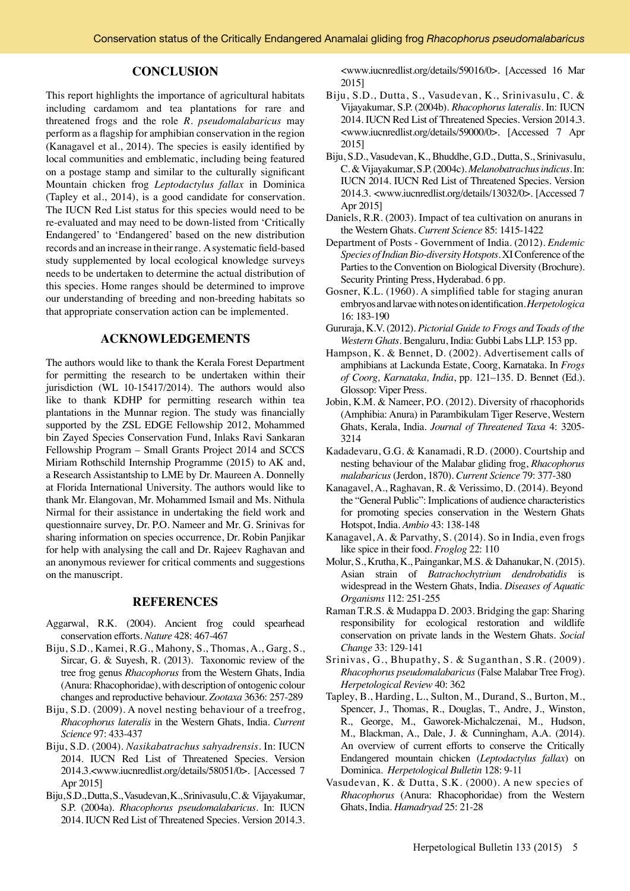#### **CONCLUSION**

This report highlights the importance of agricultural habitats including cardamom and tea plantations for rare and threatened frogs and the role *R. pseudomalabaricus* may perform as a flagship for amphibian conservation in the region (Kanagavel et al., 2014). The species is easily identified by local communities and emblematic, including being featured on a postage stamp and similar to the culturally significant Mountain chicken frog *Leptodactylus fallax* in Dominica (Tapley et al., 2014), is a good candidate for conservation. The IUCN Red List status for this species would need to be re-evaluated and may need to be down-listed from 'Critically Endangered' to 'Endangered' based on the new distribution records and an increase in their range. A systematic field-based study supplemented by local ecological knowledge surveys needs to be undertaken to determine the actual distribution of this species. Home ranges should be determined to improve our understanding of breeding and non-breeding habitats so that appropriate conservation action can be implemented.

## **ACKNOWLEDGEMENTS**

The authors would like to thank the Kerala Forest Department for permitting the research to be undertaken within their jurisdiction (WL 10-15417/2014). The authors would also like to thank KDHP for permitting research within tea plantations in the Munnar region. The study was financially supported by the ZSL EDGE Fellowship 2012, Mohammed bin Zayed Species Conservation Fund, Inlaks Ravi Sankaran Fellowship Program – Small Grants Project 2014 and SCCS Miriam Rothschild Internship Programme (2015) to AK and, a Research Assistantship to LME by Dr. Maureen A. Donnelly at Florida International University. The authors would like to thank Mr. Elangovan, Mr. Mohammed Ismail and Ms. Nithula Nirmal for their assistance in undertaking the field work and questionnaire survey, Dr. P.O. Nameer and Mr. G. Srinivas for sharing information on species occurrence, Dr. Robin Panjikar for help with analysing the call and Dr. Rajeev Raghavan and an anonymous reviewer for critical comments and suggestions on the manuscript.

#### **REFERENCES**

- Aggarwal, R.K. (2004). Ancient frog could spearhead conservation efforts. *Nature* 428: 467-467
- Biju, S.D., Kamei, R.G., Mahony, S., Thomas, A., Garg, S., Sircar, G. & Suyesh, R. (2013). Taxonomic review of the tree frog genus *Rhacophorus* from the Western Ghats, India (Anura: Rhacophoridae), with description of ontogenic colour changes and reproductive behaviour. *Zootaxa* 3636: 257-289
- Biju, S.D. (2009). A novel nesting behaviour of a treefrog, *Rhacophorus lateralis* in the Western Ghats, India. *Current Science* 97: 433-437
- Biju, S.D. (2004). *Nasikabatrachus sahyadrensis*. In: IUCN 2014. IUCN Red List of Threatened Species. Version 2014.3.<www.iucnredlist.org/details/58051/0>. [Accessed 7 Apr 2015]
- Biju, S.D., Dutta, S., Vasudevan, K., Srinivasulu, C. & Vijayakumar, S.P. (2004a). *Rhacophorus pseudomalabaricus*. In: IUCN 2014. IUCN Red List of Threatened Species. Version 2014.3.

<www.iucnredlist.org/details/59016/0>. [Accessed 16 Mar 2015]

- Biju, S.D., Dutta, S., Vasudevan, K., Srinivasulu, C. & Vijayakumar, S.P. (2004b). *Rhacophorus lateralis*. In: IUCN 2014. IUCN Red List of Threatened Species. Version 2014.3. <www.iucnredlist.org/details/59000/0>. [Accessed 7 Apr 2015]
- Biju, S.D., Vasudevan, K., Bhuddhe, G.D., Dutta, S., Srinivasulu, C. & Vijayakumar, S.P. (2004c). *Melanobatrachus indicus*. In: IUCN 2014. IUCN Red List of Threatened Species. Version 2014.3. <www.iucnredlist.org/details/13032/0>. [Accessed 7 Apr 2015]
- Daniels, R.R. (2003). Impact of tea cultivation on anurans in the Western Ghats. *Current Science* 85: 1415-1422
- Department of Posts Government of India. (2012). *Endemic Species of Indian Bio-diversity Hotspots*. XI Conference of the Parties to the Convention on Biological Diversity (Brochure). Security Printing Press, Hyderabad. 6 pp.
- Gosner, K.L. (1960). A simplified table for staging anuran embryos and larvae with notes on identification.*Herpetologica*  16: 183-190
- Gururaja, K.V. (2012). *Pictorial Guide to Frogs and Toads of the Western Ghats*. Bengaluru, India: Gubbi Labs LLP. 153 pp.
- Hampson, K. & Bennet, D. (2002). Advertisement calls of amphibians at Lackunda Estate, Coorg, Karnataka. In *Frogs of Coorg, Karnataka, India*, pp. 121–135. D. Bennet (Ed.). Glossop: Viper Press.
- Jobin, K.M. & Nameer, P.O. (2012). Diversity of rhacophorids (Amphibia: Anura) in Parambikulam Tiger Reserve, Western Ghats, Kerala, India. *Journal of Threatened Taxa* 4: 3205- 3214
- Kadadevaru, G.G. & Kanamadi, R.D. (2000). Courtship and nesting behaviour of the Malabar gliding frog, *Rhacophorus malabaricus* (Jerdon, 1870). *Current Science* 79: 377-380
- Kanagavel, A., Raghavan, R. & Verissimo, D. (2014). Beyond the "General Public": Implications of audience characteristics for promoting species conservation in the Western Ghats Hotspot, India. *Ambio* 43: 138-148
- Kanagavel, A. & Parvathy, S. (2014). So in India, even frogs like spice in their food. *Froglog* 22: 110
- Molur, S., Krutha, K., Paingankar, M.S. & Dahanukar, N. (2015). Asian strain of *Batrachochytrium dendrobatidis* is widespread in the Western Ghats, India. *Diseases of Aquatic Organisms* 112: 251-255
- Raman T.R.S. & Mudappa D. 2003. Bridging the gap: Sharing responsibility for ecological restoration and wildlife conservation on private lands in the Western Ghats. *Social Change* 33: 129-141
- Srinivas, G., Bhupathy, S. & Suganthan, S.R. (2009). *Rhacophorus pseudomalabaricus* (False Malabar Tree Frog). *Herpetological Review* 40: 362
- Tapley, B., Harding, L., Sulton, M., Durand, S., Burton, M., Spencer, J., Thomas, R., Douglas, T., Andre, J., Winston, R., George, M., Gaworek-Michalczenai, M., Hudson, M., Blackman, A., Dale, J. & Cunningham, A.A. (2014). An overview of current efforts to conserve the Critically Endangered mountain chicken (*Leptodactylus fallax*) on Dominica. *Herpetological Bulletin* 128: 9-11
- Vasudevan, K. & Dutta, S.K. (2000). A new species of *Rhacophorus* (Anura: Rhacophoridae) from the Western Ghats, India. *Hamadryad* 25: 21-28